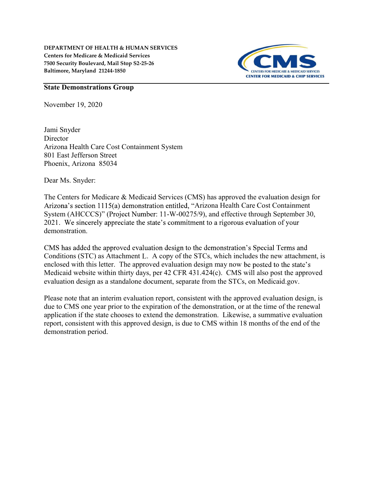DEPARTMENT OF HEALTH & HUMAN SERVICES Centers for Medicare & Medicaid Services 7500 Security Boulevard, Mail Stop S2-25-26 Baltimore, Maryland 21244-1850



## State Demonstrations Group

November 19, 2020

Jami Snyder **Director** Arizona Health Care Cost Containment System 801 East Jefferson Street Phoenix, Arizona 85034

Dear Ms. Snyder:

The Centers for Medicare & Medicaid Services (CMS) has approved the evaluation design for Arizona's section 1115(a) demonstration entitled, "Arizona Health Care Cost Containment System (AHCCCS)" (Project Number: 11-W-00275/9), and effective through September 30, 2021. We sincerely appreciate the state's commitment to a rigorous evaluation of your demonstration.

CMS has added the approved evaluation design to the demonstration's Special Terms and Conditions (STC) as Attachment L. A copy of the STCs, which includes the new attachment, is enclosed with this letter. The approved evaluation design may now be posted to the state's Medicaid website within thirty days, per 42 CFR 431.424(c). CMS will also post the approved evaluation design as a standalone document, separate from the STCs, on Medicaid.gov.

Please note that an interim evaluation report, consistent with the approved evaluation design, is due to CMS one year prior to the expiration of the demonstration, or at the time of the renewal application if the state chooses to extend the demonstration. Likewise, a summative evaluation report, consistent with this approved design, is due to CMS within 18 months of the end of the demonstration period.